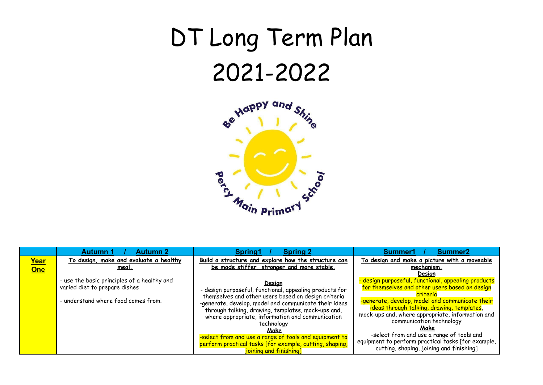## DT Long Term Plan 2021-2022



|                    | <b>Autumn 1</b><br><b>Autumn 2</b>                                                                                                                                            | Spring1<br><b>Spring 2</b>                                                                                                                                                                                                                                                                    | Summer1<br>Summer <sub>2</sub>                                                                                                                                                                                                                                                             |
|--------------------|-------------------------------------------------------------------------------------------------------------------------------------------------------------------------------|-----------------------------------------------------------------------------------------------------------------------------------------------------------------------------------------------------------------------------------------------------------------------------------------------|--------------------------------------------------------------------------------------------------------------------------------------------------------------------------------------------------------------------------------------------------------------------------------------------|
| <u>Year</u><br>One | To design, make and evaluate a healthy<br><u>meal.</u><br>- use the basic principles of a healthy and<br>varied diet to prepare dishes<br>- understand where food comes from. | Build a structure and explore how the structure can<br>be made stiffer, stronger and more stable.<br><b>Design</b><br>- design purposeful, functional, appealing products for<br>themselves and other users based on design criteria<br>-generate, develop, model and communicate their ideas | To design and make a picture with a moveable<br>mechanism.<br>Desian<br>- design purposeful, functional, appealing products<br>for themselves and other users based on design<br>criteria<br>-generate, develop, model and communicate their<br>ideas through talking, drawing, templates, |
|                    |                                                                                                                                                                               | through talking, drawing, templates, mock-ups and,<br>where appropriate, information and communication<br>technology<br>Make<br>-select from and use a range of tools and equipment to<br>perform practical tasks [for example, cutting, shaping,<br>joining and finishing]                   | mock-ups and, where appropriate, information and<br>communication technology<br>Make<br>-select from and use a range of tools and<br>equipment to perform practical tasks [for example,<br>cutting, shaping, joining and finishing]                                                        |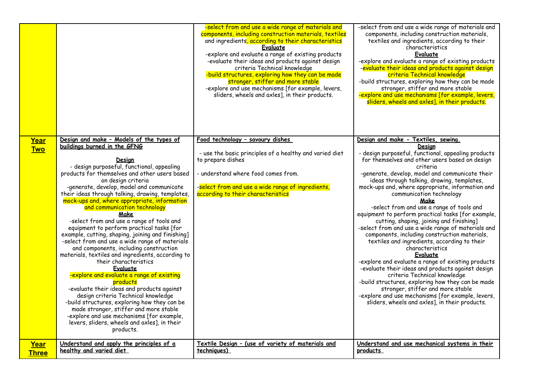|                    |                                                                                                                                                                                                                                                                                                                                                                                                                                                                                                                                                                                                                                                                                                                                                                                                                                                                                                                                                                                                                                                                                                | -select from and use a wide range of materials and<br>components, including construction materials, textiles<br>and ingredients, according to their characteristics<br>Evaluate<br>-explore and evaluate a range of existing products<br>-evaluate their ideas and products against design<br>criteria Technical knowledge<br>-build structures, exploring how they can be made<br>stronger, stiffer and more stable<br>-explore and use mechanisms [for example, levers,<br>sliders, wheels and axles], in their products. | -select from and use a wide range of materials and<br>components, including construction materials,<br>textiles and ingredients, according to their<br>characteristics<br>Evaluate<br>-explore and evaluate a range of existing products<br>-evaluate their ideas and products against design<br>criteria Technical knowledge<br>-build structures, exploring how they can be made<br>stronger, stiffer and more stable<br>-explore and use mechanisms [for example, levers,<br>sliders, wheels and axles], in their products.                                                                                                                                                                                                                                                                                                                                                                                                                                                                                                                             |
|--------------------|------------------------------------------------------------------------------------------------------------------------------------------------------------------------------------------------------------------------------------------------------------------------------------------------------------------------------------------------------------------------------------------------------------------------------------------------------------------------------------------------------------------------------------------------------------------------------------------------------------------------------------------------------------------------------------------------------------------------------------------------------------------------------------------------------------------------------------------------------------------------------------------------------------------------------------------------------------------------------------------------------------------------------------------------------------------------------------------------|-----------------------------------------------------------------------------------------------------------------------------------------------------------------------------------------------------------------------------------------------------------------------------------------------------------------------------------------------------------------------------------------------------------------------------------------------------------------------------------------------------------------------------|------------------------------------------------------------------------------------------------------------------------------------------------------------------------------------------------------------------------------------------------------------------------------------------------------------------------------------------------------------------------------------------------------------------------------------------------------------------------------------------------------------------------------------------------------------------------------------------------------------------------------------------------------------------------------------------------------------------------------------------------------------------------------------------------------------------------------------------------------------------------------------------------------------------------------------------------------------------------------------------------------------------------------------------------------------|
| Year<br><b>Two</b> | Design and make - Models of the types of<br>buildings burned in the GFNG<br><b>Design</b><br>- design purposeful, functional, appealing<br>products for themselves and other users based<br>on design criteria<br>-generate, develop, model and communicate<br>their ideas through talking, drawing, templates,<br>mock-ups and, where appropriate, information<br>and communication technology<br>Make<br>-select from and use a range of tools and<br>equipment to perform practical tasks [for<br>example, cutting, shaping, joining and finishing]<br>-select from and use a wide range of materials<br>and components, including construction<br>materials, textiles and ingredients, according to<br>their characteristics<br>Evaluate<br>-explore and evaluate a range of existing<br>products<br>-evaluate their ideas and products against<br>design criteria Technical knowledge<br>-build structures, exploring how they can be<br>made stronger, stiffer and more stable<br>-explore and use mechanisms [for example,<br>levers, sliders, wheels and axles], in their<br>products. | Food technology - savoury dishes<br>- use the basic principles of a healthy and varied diet<br>to prepare dishes<br>- understand where food comes from.<br>-select from and use a wide range of ingredients,<br>according to their characteristics                                                                                                                                                                                                                                                                          | Design and make - Textiles, sewing.<br><u>Desian</u><br>- design purposeful, functional, appealing products<br>for themselves and other users based on design<br>criteria<br>-generate, develop, model and communicate their<br>ideas through talking, drawing, templates,<br>mock-ups and, where appropriate, information and<br>communication technology<br>Make<br>-select from and use a range of tools and<br>equipment to perform practical tasks [for example,<br>cutting, shaping, joining and finishing]<br>-select from and use a wide range of materials and<br>components, including construction materials,<br>textiles and ingredients, according to their<br>characteristics<br><b>Evaluate</b><br>-explore and evaluate a range of existing products<br>-evaluate their ideas and products against design<br>criteria Technical knowledge<br>-build structures, exploring how they can be made<br>stronger, stiffer and more stable<br>-explore and use mechanisms [for example, levers,<br>sliders, wheels and axles], in their products. |
| Year               | Understand and apply the principles of a                                                                                                                                                                                                                                                                                                                                                                                                                                                                                                                                                                                                                                                                                                                                                                                                                                                                                                                                                                                                                                                       | Textile Design - (use of variety of materials and                                                                                                                                                                                                                                                                                                                                                                                                                                                                           | Understand and use mechanical systems in their                                                                                                                                                                                                                                                                                                                                                                                                                                                                                                                                                                                                                                                                                                                                                                                                                                                                                                                                                                                                             |
| <b>Three</b>       | healthy and varied diet                                                                                                                                                                                                                                                                                                                                                                                                                                                                                                                                                                                                                                                                                                                                                                                                                                                                                                                                                                                                                                                                        | techniques)                                                                                                                                                                                                                                                                                                                                                                                                                                                                                                                 | products                                                                                                                                                                                                                                                                                                                                                                                                                                                                                                                                                                                                                                                                                                                                                                                                                                                                                                                                                                                                                                                   |
|                    |                                                                                                                                                                                                                                                                                                                                                                                                                                                                                                                                                                                                                                                                                                                                                                                                                                                                                                                                                                                                                                                                                                |                                                                                                                                                                                                                                                                                                                                                                                                                                                                                                                             |                                                                                                                                                                                                                                                                                                                                                                                                                                                                                                                                                                                                                                                                                                                                                                                                                                                                                                                                                                                                                                                            |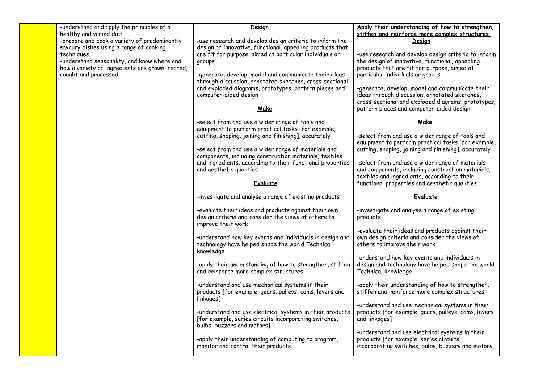| -understand and apply the principles of a<br>healthy and varied diet<br>-prepare and cook a variety of predominantly<br>savoury dishes using a range of cooking<br>techniques<br>-understand seasonality, and know where and<br>how a variety of ingredients are grown, reared,<br>caught and processed. | Design<br>-use research and develop design criteria to inform the<br>design of innovative, functional, appealing products that<br>are fit for purpose, aimed at particular individuals or<br>groups<br>-generate, develop, model and communicate their ideas<br>through discussion, annotated sketches, cross-sectional<br>and exploded diagrams, prototypes, pattern pieces and<br>computer-aided design<br>Make | Apply their understanding of how to strengthen,<br>stiffen and reinforce more complex structures.<br>Design<br>-use research and develop design criteria to inform<br>the design of innovative, functional, appealing<br>products that are fit for purpose, aimed at<br>particular individuals or groups<br>-generate, develop, model and communicate their<br>ideas through discussion, annotated sketches,<br>cross-sectional and exploded diagrams, prototypes,<br>pattern pieces and computer-aided design |
|----------------------------------------------------------------------------------------------------------------------------------------------------------------------------------------------------------------------------------------------------------------------------------------------------------|-------------------------------------------------------------------------------------------------------------------------------------------------------------------------------------------------------------------------------------------------------------------------------------------------------------------------------------------------------------------------------------------------------------------|----------------------------------------------------------------------------------------------------------------------------------------------------------------------------------------------------------------------------------------------------------------------------------------------------------------------------------------------------------------------------------------------------------------------------------------------------------------------------------------------------------------|
|                                                                                                                                                                                                                                                                                                          | -select from and use a wider range of tools and<br>equipment to perform practical tasks [for example,<br>cutting, shaping, joining and finishing], accurately<br>-select from and use a wider range of materials and<br>components, including construction materials, textiles<br>and ingredients, according to their functional properties<br>and aesthetic qualities<br>Evaluate                                | Make<br>-select from and use a wider range of tools and<br>equipment to perform practical tasks [for example,<br>cutting, shaping, joining and finishing], accurately<br>-select from and use a wider range of materials<br>and components, including construction materials,<br>textiles and ingredients, according to their<br>functional properties and aesthetic qualities                                                                                                                                 |
|                                                                                                                                                                                                                                                                                                          | -investigate and analyse a range of existing products                                                                                                                                                                                                                                                                                                                                                             | Evaluate                                                                                                                                                                                                                                                                                                                                                                                                                                                                                                       |
|                                                                                                                                                                                                                                                                                                          | -evaluate their ideas and products against their own<br>design criteria and consider the views of others to<br>improve their work<br>-understand how key events and individuals in design and<br>technology have helped shape the world Technical<br>knowledge                                                                                                                                                    | -investigate and analyse a range of existing<br>products<br>-evaluate their ideas and products against their<br>own design criteria and consider the views of<br>others to improve their work                                                                                                                                                                                                                                                                                                                  |
|                                                                                                                                                                                                                                                                                                          | -apply their understanding of how to strengthen, stiffen<br>and reinforce more complex structures                                                                                                                                                                                                                                                                                                                 | -understand how key events and individuals in<br>design and technology have helped shape the world<br>Technical knowledge                                                                                                                                                                                                                                                                                                                                                                                      |
|                                                                                                                                                                                                                                                                                                          | -understand and use mechanical systems in their<br>products [for example, gears, pulleys, cams, levers and<br>linkages]                                                                                                                                                                                                                                                                                           | -apply their understanding of how to strengthen,<br>stiffen and reinforce more complex structures                                                                                                                                                                                                                                                                                                                                                                                                              |
|                                                                                                                                                                                                                                                                                                          | -understand and use electrical systems in their products<br>[for example, series circuits incorporating switches,<br>bulbs, buzzers and motors]                                                                                                                                                                                                                                                                   | -understand and use mechanical systems in their<br>products [for example, gears, pulleys, cams, levers<br>and linkages]                                                                                                                                                                                                                                                                                                                                                                                        |
|                                                                                                                                                                                                                                                                                                          | -apply their understanding of computing to program,<br>monitor and control their products.                                                                                                                                                                                                                                                                                                                        | -understand and use electrical systems in their<br>products [for example, series circuits<br>incorporating switches, bulbs, buzzers and motors]                                                                                                                                                                                                                                                                                                                                                                |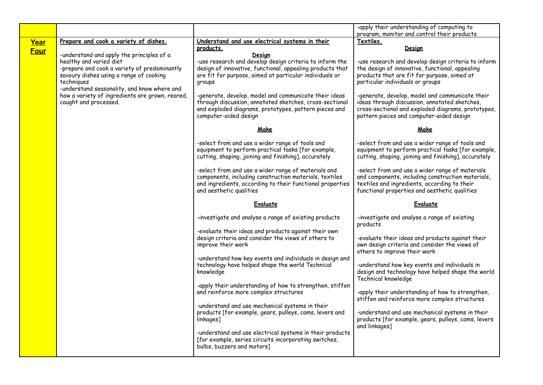|             |                                                                                                                                                                               |                                                                                                                                                                                                       | -apply their understanding of computing to<br>program, monitor and control their products.                                                                                                            |
|-------------|-------------------------------------------------------------------------------------------------------------------------------------------------------------------------------|-------------------------------------------------------------------------------------------------------------------------------------------------------------------------------------------------------|-------------------------------------------------------------------------------------------------------------------------------------------------------------------------------------------------------|
| Year        | Prepare and cook a variety of dishes.                                                                                                                                         | Understand and use electrical systems in their                                                                                                                                                        | Textiles.                                                                                                                                                                                             |
| <b>Four</b> |                                                                                                                                                                               | products.                                                                                                                                                                                             | <u>Design</u>                                                                                                                                                                                         |
|             | -understand and apply the principles of a<br>healthy and varied diet<br>-prepare and cook a variety of predominantly<br>savoury dishes using a range of cooking<br>techniques | Desian<br>-use research and develop design criteria to inform the<br>design of innovative, functional, appealing products that<br>are fit for purpose, aimed at particular individuals or<br>groups   | -use research and develop design criteria to inform<br>the design of innovative, functional, appealing<br>products that are fit for purpose, aimed at<br>particular individuals or groups             |
|             | -understand seasonality, and know where and<br>how a variety of ingredients are grown, reared,<br>caught and processed.                                                       | -generate, develop, model and communicate their ideas<br>through discussion, annotated sketches, cross-sectional<br>and exploded diagrams, prototypes, pattern pieces and<br>computer-aided design    | -generate, develop, model and communicate their<br>ideas through discussion, annotated sketches,<br>cross-sectional and exploded diagrams, prototypes,<br>pattern pieces and computer-aided design    |
|             |                                                                                                                                                                               | Make                                                                                                                                                                                                  | Make                                                                                                                                                                                                  |
|             |                                                                                                                                                                               | -select from and use a wider range of tools and<br>equipment to perform practical tasks [for example,<br>cutting, shaping, joining and finishing], accurately                                         | -select from and use a wider range of tools and<br>equipment to perform practical tasks [for example,<br>cutting, shaping, joining and finishing], accurately                                         |
|             |                                                                                                                                                                               | -select from and use a wider range of materials and<br>components, including construction materials, textiles<br>and ingredients, according to their functional properties<br>and aesthetic qualities | -select from and use a wider range of materials<br>and components, including construction materials,<br>textiles and ingredients, according to their<br>functional properties and aesthetic qualities |
|             |                                                                                                                                                                               | Evaluate                                                                                                                                                                                              | Evaluate                                                                                                                                                                                              |
|             |                                                                                                                                                                               | -investigate and analyse a range of existing products                                                                                                                                                 | -investigate and analyse a range of existing<br>products                                                                                                                                              |
|             |                                                                                                                                                                               | -evaluate their ideas and products against their own<br>design criteria and consider the views of others to<br>improve their work                                                                     | -evaluate their ideas and products against their<br>own design criteria and consider the views of<br>others to improve their work                                                                     |
|             |                                                                                                                                                                               | -understand how key events and individuals in design and<br>technology have helped shape the world Technical<br>knowledge                                                                             | -understand how key events and individuals in<br>design and technology have helped shape the world<br>Technical knowledge                                                                             |
|             |                                                                                                                                                                               | -apply their understanding of how to strengthen, stiffen<br>and reinforce more complex structures                                                                                                     | -apply their understanding of how to strengthen,<br>stiffen and reinforce more complex structures                                                                                                     |
|             |                                                                                                                                                                               | -understand and use mechanical systems in their<br>products [for example, gears, pulleys, cams, levers and<br>linkages]                                                                               | -understand and use mechanical systems in their<br>products [for example, gears, pulleys, cams, levers<br>and linkages]                                                                               |
|             |                                                                                                                                                                               | -understand and use electrical systems in their products<br>[for example, series circuits incorporating switches,<br>bulbs, buzzers and motors]                                                       |                                                                                                                                                                                                       |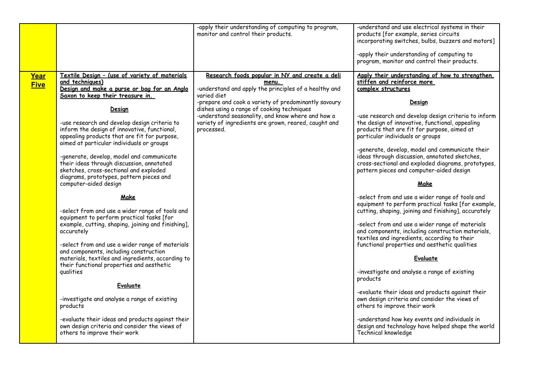|                     |                                                                                                                                                                                                                                                                                                                                                                                                                                                                                                                                                                                                                                                                                                                                                                                                                                                                                                                                                                                                                                                                                         | -apply their understanding of computing to program,<br>monitor and control their products.                                                                                                                                                                                                                                                                       | -understand and use electrical systems in their<br>products [for example, series circuits<br>incorporating switches, bulbs, buzzers and motors]<br>-apply their understanding of computing to<br>program, monitor and control their products.                                                                                                                                                                                                                                                                                                                                                                                                                                                                                                                                                                                                                                                                                                                                                                                                                                                                                                                    |
|---------------------|-----------------------------------------------------------------------------------------------------------------------------------------------------------------------------------------------------------------------------------------------------------------------------------------------------------------------------------------------------------------------------------------------------------------------------------------------------------------------------------------------------------------------------------------------------------------------------------------------------------------------------------------------------------------------------------------------------------------------------------------------------------------------------------------------------------------------------------------------------------------------------------------------------------------------------------------------------------------------------------------------------------------------------------------------------------------------------------------|------------------------------------------------------------------------------------------------------------------------------------------------------------------------------------------------------------------------------------------------------------------------------------------------------------------------------------------------------------------|------------------------------------------------------------------------------------------------------------------------------------------------------------------------------------------------------------------------------------------------------------------------------------------------------------------------------------------------------------------------------------------------------------------------------------------------------------------------------------------------------------------------------------------------------------------------------------------------------------------------------------------------------------------------------------------------------------------------------------------------------------------------------------------------------------------------------------------------------------------------------------------------------------------------------------------------------------------------------------------------------------------------------------------------------------------------------------------------------------------------------------------------------------------|
| Year<br><b>Five</b> | Textile Design - (use of variety of materials<br>and techniques)<br>Design and make a purse or bag for an Anglo<br>Saxon to keep their treasure in.<br>Design<br>-use research and develop design criteria to<br>inform the design of innovative, functional,<br>appealing products that are fit for purpose,<br>aimed at particular individuals or groups<br>-generate, develop, model and communicate<br>their ideas through discussion, annotated<br>sketches, cross-sectional and exploded<br>diagrams, prototypes, pattern pieces and<br>computer-aided design<br>Make<br>-select from and use a wider range of tools and<br>equipment to perform practical tasks [for<br>example, cutting, shaping, joining and finishing],<br>accurately<br>-select from and use a wider range of materials<br>and components, including construction<br>materials, textiles and ingredients, according to<br>their functional properties and aesthetic<br>qualities<br>Evaluate<br>-investigate and analyse a range of existing<br>products<br>-evaluate their ideas and products against their | Research foods popular in NY and create a deli<br>menu.<br>-understand and apply the principles of a healthy and<br>varied diet<br>-prepare and cook a variety of predominantly savoury<br>dishes using a range of cooking techniques<br>-understand seasonality, and know where and how a<br>variety of ingredients are grown, reared, caught and<br>processed. | Apply their understanding of how to strengthen.<br>stiffen and reinforce more<br>complex structures<br>Design<br>-use research and develop design criteria to inform<br>the design of innovative, functional, appealing<br>products that are fit for purpose, aimed at<br>particular individuals or groups<br>-generate, develop, model and communicate their<br>ideas through discussion, annotated sketches,<br>cross-sectional and exploded diagrams, prototypes,<br>pattern pieces and computer-aided design<br>Make<br>-select from and use a wider range of tools and<br>equipment to perform practical tasks [for example,<br>cutting, shaping, joining and finishing], accurately<br>-select from and use a wider range of materials<br>and components, including construction materials,<br>textiles and ingredients, according to their<br>functional properties and aesthetic qualities<br>Evaluate<br>-investigate and analyse a range of existing<br>products<br>-evaluate their ideas and products against their<br>own design criteria and consider the views of<br>others to improve their work<br>-understand how key events and individuals in |
|                     | own design criteria and consider the views of<br>others to improve their work                                                                                                                                                                                                                                                                                                                                                                                                                                                                                                                                                                                                                                                                                                                                                                                                                                                                                                                                                                                                           |                                                                                                                                                                                                                                                                                                                                                                  | design and technology have helped shape the world<br>Technical knowledge                                                                                                                                                                                                                                                                                                                                                                                                                                                                                                                                                                                                                                                                                                                                                                                                                                                                                                                                                                                                                                                                                         |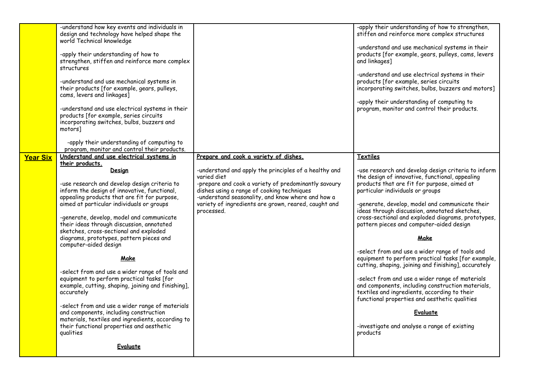| -understand how key events and individuals in<br>design and technology have helped shape the<br>world Technical knowledge<br>-apply their understanding of how to<br>strengthen, stiffen and reinforce more complex<br>structures<br>-understand and use mechanical systems in<br>their products [for example, gears, pulleys,<br>cams, levers and linkages]<br>-understand and use electrical systems in their<br>products [for example, series circuits<br>incorporating switches, bulbs, buzzers and<br>motorsl<br>-apply their understanding of computing to<br>program, monitor and control their products. |                                                                                                                                                                                                                                                                                                       | -apply their understanding of how to strengthen,<br>stiffen and reinforce more complex structures<br>-understand and use mechanical systems in their<br>products [for example, gears, pulleys, cams, levers<br>and linkages]<br>-understand and use electrical systems in their<br>products [for example, series circuits<br>incorporating switches, bulbs, buzzers and motors]<br>-apply their understanding of computing to<br>program, monitor and control their products.                                                                                                                                                                                                                                                    |
|------------------------------------------------------------------------------------------------------------------------------------------------------------------------------------------------------------------------------------------------------------------------------------------------------------------------------------------------------------------------------------------------------------------------------------------------------------------------------------------------------------------------------------------------------------------------------------------------------------------|-------------------------------------------------------------------------------------------------------------------------------------------------------------------------------------------------------------------------------------------------------------------------------------------------------|----------------------------------------------------------------------------------------------------------------------------------------------------------------------------------------------------------------------------------------------------------------------------------------------------------------------------------------------------------------------------------------------------------------------------------------------------------------------------------------------------------------------------------------------------------------------------------------------------------------------------------------------------------------------------------------------------------------------------------|
| their products.<br>Design<br>-use research and develop design criteria to<br>inform the design of innovative, functional,<br>appealing products that are fit for purpose,<br>aimed at particular individuals or groups<br>-generate, develop, model and communicate<br>their ideas through discussion, annotated<br>sketches, cross-sectional and exploded<br>diagrams, prototypes, pattern pieces and<br>computer-aided design<br>Make<br>-select from and use a wider range of tools and<br>equipment to perform practical tasks [for<br>example, cutting, shaping, joining and finishing],<br>accurately      | -understand and apply the principles of a healthy and<br>varied diet<br>-prepare and cook a variety of predominantly savoury<br>dishes using a range of cooking techniques<br>-understand seasonality, and know where and how a<br>variety of ingredients are grown, reared, caught and<br>processed. | -use research and develop design criteria to inform<br>the design of innovative, functional, appealing<br>products that are fit for purpose, aimed at<br>particular individuals or groups<br>-generate, develop, model and communicate their<br>ideas through discussion, annotated sketches,<br>cross-sectional and exploded diagrams, prototypes,<br>pattern pieces and computer-aided design<br>Make<br>-select from and use a wider range of tools and<br>equipment to perform practical tasks [for example,<br>cutting, shaping, joining and finishing], accurately<br>-select from and use a wider range of materials<br>and components, including construction materials,<br>textiles and ingredients, according to their |
| -select from and use a wider range of materials<br>and components, including construction<br>materials, textiles and ingredients, according to<br>their functional properties and aesthetic<br>qualities<br>Evaluate                                                                                                                                                                                                                                                                                                                                                                                             |                                                                                                                                                                                                                                                                                                       | functional properties and aesthetic qualities<br>Evaluate<br>-investigate and analyse a range of existing<br>products                                                                                                                                                                                                                                                                                                                                                                                                                                                                                                                                                                                                            |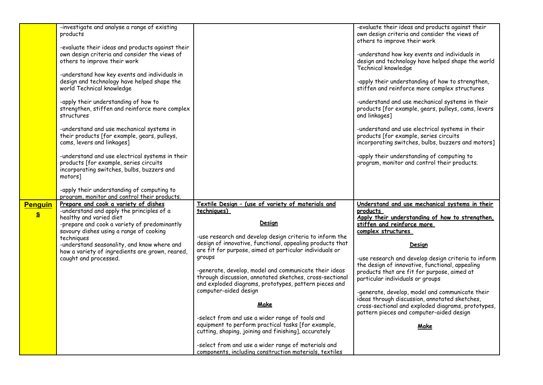|                     | -investigate and analyse a range of existing<br>products                                                                                           |                                                                                                                                                                                 | -evaluate their ideas and products against their<br>own design criteria and consider the views of<br>others to improve their work               |
|---------------------|----------------------------------------------------------------------------------------------------------------------------------------------------|---------------------------------------------------------------------------------------------------------------------------------------------------------------------------------|-------------------------------------------------------------------------------------------------------------------------------------------------|
|                     | -evaluate their ideas and products against their<br>own design criteria and consider the views of<br>others to improve their work                  |                                                                                                                                                                                 | -understand how key events and individuals in<br>design and technology have helped shape the world<br>Technical knowledge                       |
|                     | -understand how key events and individuals in<br>design and technology have helped shape the<br>world Technical knowledge                          |                                                                                                                                                                                 | -apply their understanding of how to strengthen,<br>stiffen and reinforce more complex structures                                               |
|                     | -apply their understanding of how to<br>strengthen, stiffen and reinforce more complex<br>structures                                               |                                                                                                                                                                                 | -understand and use mechanical systems in their<br>products [for example, gears, pulleys, cams, levers<br>and linkages]                         |
|                     | -understand and use mechanical systems in<br>their products [for example, gears, pulleys,<br>cams, levers and linkages]                            |                                                                                                                                                                                 | -understand and use electrical systems in their<br>products [for example, series circuits<br>incorporating switches, bulbs, buzzers and motors] |
|                     | -understand and use electrical systems in their<br>products [for example, series circuits<br>incorporating switches, bulbs, buzzers and<br>motorsl |                                                                                                                                                                                 | -apply their understanding of computing to<br>program, monitor and control their products.                                                      |
|                     | -apply their understanding of computing to<br>program, monitor and control their products.                                                         |                                                                                                                                                                                 |                                                                                                                                                 |
| <b>Penguin</b><br>S | Prepare and cook a variety of dishes<br>-understand and apply the principles of a<br>healthy and varied diet                                       | Textile Design - (use of variety of materials and<br>techniques)                                                                                                                | Understand and use mechanical systems in their<br>products                                                                                      |
|                     | -prepare and cook a variety of predominantly<br>savoury dishes using a range of cooking                                                            | Design                                                                                                                                                                          | Apply their understanding of how to strengthen,<br>stiffen and reinforce more<br>complex structures                                             |
|                     | techniques<br>-understand seasonality, and know where and<br>how a variety of ingredients are grown, reared,                                       | -use research and develop design criteria to inform the<br>design of innovative, functional, appealing products that<br>are fit for purpose, aimed at particular individuals or | Design                                                                                                                                          |
|                     | caught and processed.                                                                                                                              | groups<br>-generate, develop, model and communicate their ideas                                                                                                                 | -use research and develop design criteria to inform<br>the design of innovative, functional, appealing                                          |
|                     |                                                                                                                                                    | through discussion, annotated sketches, cross-sectional<br>and exploded diagrams, prototypes, pattern pieces and                                                                | products that are fit for purpose, aimed at<br>particular individuals or groups                                                                 |
|                     |                                                                                                                                                    | computer-aided design<br>Make                                                                                                                                                   | -generate, develop, model and communicate their<br>ideas through discussion, annotated sketches,                                                |
|                     |                                                                                                                                                    | -select from and use a wider range of tools and                                                                                                                                 | cross-sectional and exploded diagrams, prototypes,<br>pattern pieces and computer-aided design                                                  |
|                     |                                                                                                                                                    | equipment to perform practical tasks [for example,<br>cutting, shaping, joining and finishing], accurately                                                                      | Make                                                                                                                                            |
|                     |                                                                                                                                                    | -select from and use a wider range of materials and<br>components, including construction materials, textiles                                                                   |                                                                                                                                                 |